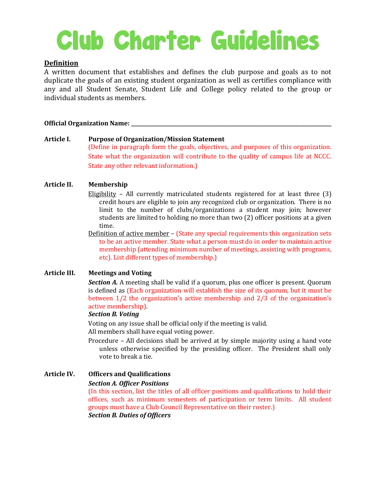# Club Charter Guidelines

# **Definition**

A written document that establishes and defines the club purpose and goals as to not duplicate the goals of an existing student organization as well as certifies compliance with any and all Student Senate, Student Life and College policy related to the group or individual students as members.

## **Official Organization Name: \_\_\_\_\_\_\_\_\_\_\_\_\_\_\_\_\_\_\_\_\_\_\_\_\_\_\_\_\_\_\_\_\_\_\_\_\_\_\_\_\_\_\_\_\_\_\_\_\_\_\_\_\_\_\_\_\_\_\_\_\_\_\_\_\_\_\_\_\_\_\_\_\_\_\_\_\_\_\_\_**

# **Article I. Purpose of Organization/Mission Statement** (Define in paragraph form the goals, objectives, and purposes of this organization. State what the organization will contribute to the quality of campus life at NCCC. State any other relevant information.)

# **Article II. Membership**

- Eligibility All currently matriculated students registered for at least three (3) credit hours are eligible to join any recognized club or organization. There is no limit to the number of clubs/organizations a student may join; however students are limited to holding no more than two (2) officer positions at a given time.
- Definition of active member (State any special requirements this organization sets to be an active member. State what a person must do in order to maintain active membership (attending minimum number of meetings, assisting with programs, etc). List different types of membership.)

# **Article III. Meetings and Voting**

*Section A.* A meeting shall be valid if a quorum, plus one officer is present. Quorum is defined as (Each organization will establish the size of its quorum, but it must be between 1/2 the organization's active membership and 2/3 of the organization's active membership).

### *Section B. Voting*

Voting on any issue shall be official only if the meeting is valid. All members shall have equal voting power.

- Procedure All decisions shall be arrived at by simple majority using a hand vote unless otherwise specified by the presiding officer. The President shall only vote to break a tie.
- **Article IV. Officers and Qualifications** *Section A. Officer Positions*

(In this section, list the titles of all officer positions and qualifications to hold their offices, such as minimum semesters of participation or term limits. All student groups must have a Club Council Representative on their roster.) *Section B. Duties of Officers*